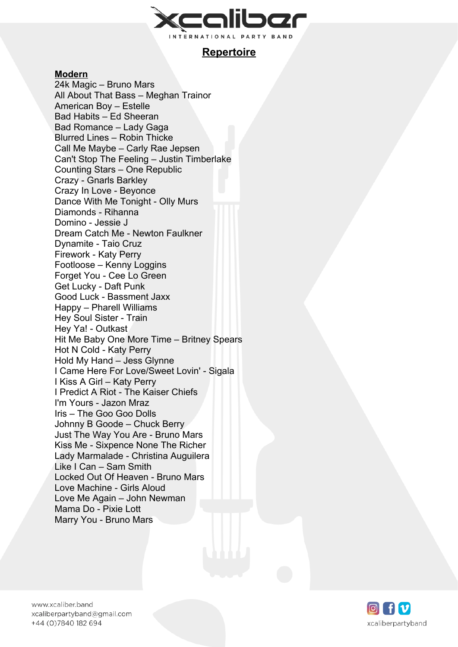

# **Repertoire**

### **Modern**

24k Magic – Bruno Mars All About That Bass – Meghan Trainor American Boy – Estelle Bad Habits – Ed Sheeran Bad Romance – Lady Gaga Blurred Lines – Robin Thicke Call Me Maybe – Carly Rae Jepsen Can't Stop The Feeling – Justin Timberlake Counting Stars – One Republic Crazy - Gnarls Barkley Crazy In Love - Beyonce Dance With Me Tonight - Olly Murs Diamonds - Rihanna Domino - Jessie J Dream Catch Me - Newton Faulkner Dynamite - Taio Cruz Firework - Katy Perry Footloose – Kenny Loggins Forget You - Cee Lo Green Get Lucky - Daft Punk Good Luck - Bassment Jaxx Happy – Pharell Williams Hey Soul Sister - Train Hey Ya! - Outkast Hit Me Baby One More Time – Britney Spears Hot N Cold - Katy Perry Hold My Hand – Jess Glynne I Came Here For Love/Sweet Lovin' - Sigala I Kiss A Girl – Katy Perry I Predict A Riot - The Kaiser Chiefs I'm Yours - Jazon Mraz Iris – The Goo Goo Dolls Johnny B Goode – Chuck Berry Just The Way You Are - Bruno Mars Kiss Me - Sixpence None The Richer Lady Marmalade - Christina Auguilera Like I Can – Sam Smith Locked Out Of Heaven - Bruno Mars Love Machine - Girls Aloud Love Me Again – John Newman Mama Do - Pixie Lott Marry You - Bruno Mars

www.xcaliber.band xcaliberpartyband@gmail.com +44 (0) 7840 182 694

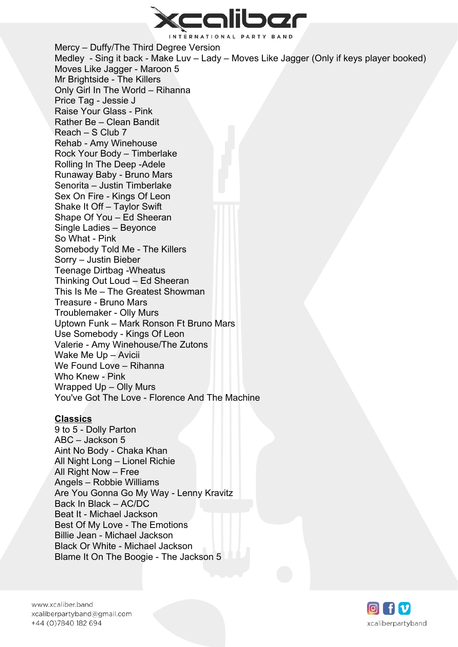

Mercy – Duffy/The Third Degree Version Medley - Sing it back - Make Luv – Lady – Moves Like Jagger (Only if keys player booked) Moves Like Jagger - Maroon 5 Mr Brightside - The Killers Only Girl In The World – Rihanna Price Tag - Jessie J Raise Your Glass - Pink Rather Be – Clean Bandit Reach – S Club 7 Rehab - Amy Winehouse Rock Your Body – Timberlake Rolling In The Deep -Adele Runaway Baby - Bruno Mars Senorita – Justin Timberlake Sex On Fire - Kings Of Leon Shake It Off – Taylor Swift Shape Of You – Ed Sheeran Single Ladies – Beyonce So What - Pink Somebody Told Me - The Killers Sorry – Justin Bieber Teenage Dirtbag -Wheatus Thinking Out Loud – Ed Sheeran This Is Me – The Greatest Showman Treasure - Bruno Mars Troublemaker - Olly Murs Uptown Funk – Mark Ronson Ft Bruno Mars Use Somebody - Kings Of Leon Valerie - Amy Winehouse/The Zutons Wake Me Up – Avicii We Found Love – Rihanna Who Knew - Pink Wrapped Up – Olly Murs You've Got The Love - Florence And The Machine

#### **Classics**

9 to 5 - Dolly Parton ABC – Jackson 5 Aint No Body - Chaka Khan All Night Long – Lionel Richie All Right Now – Free Angels – Robbie Williams Are You Gonna Go My Way - Lenny Kravitz Back In Black – AC/DC Beat It - Michael Jackson Best Of My Love - The Emotions Billie Jean - Michael Jackson Black Or White - Michael Jackson Blame It On The Boogie - The Jackson 5

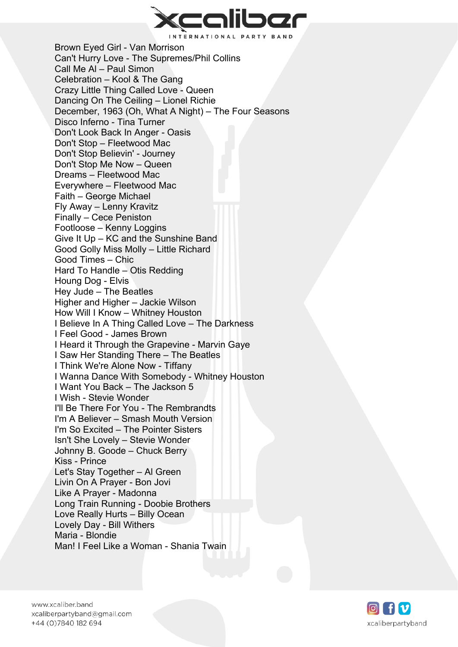

Brown Eyed Girl - Van Morrison Can't Hurry Love - The Supremes/Phil Collins Call Me Al – Paul Simon Celebration – Kool & The Gang Crazy Little Thing Called Love - Queen Dancing On The Ceiling – Lionel Richie December, 1963 (Oh, What A Night) – The Four Seasons Disco Inferno - Tina Turner Don't Look Back In Anger - Oasis Don't Stop – Fleetwood Mac Don't Stop Believin' - Journey Don't Stop Me Now – Queen Dreams – Fleetwood Mac Everywhere – Fleetwood Mac Faith – George Michael Fly Away – Lenny Kravitz Finally – Cece Peniston Footloose – Kenny Loggins Give It Up – KC and the Sunshine Band Good Golly Miss Molly – Little Richard Good Times – Chic Hard To Handle – Otis Redding Houng Dog - Elvis Hey Jude – The Beatles Higher and Higher – Jackie Wilson How Will I Know – Whitney Houston I Believe In A Thing Called Love – The Darkness I Feel Good - James Brown I Heard it Through the Grapevine - Marvin Gaye I Saw Her Standing There – The Beatles I Think We're Alone Now - Tiffany I Wanna Dance With Somebody - Whitney Houston I Want You Back – The Jackson 5 I Wish - Stevie Wonder I'll Be There For You - The Rembrandts I'm A Believer – Smash Mouth Version I'm So Excited – The Pointer Sisters Isn't She Lovely – Stevie Wonder Johnny B. Goode – Chuck Berry Kiss - Prince Let's Stay Together – Al Green Livin On A Prayer - Bon Jovi Like A Prayer - Madonna Long Train Running - Doobie Brothers Love Really Hurts – Billy Ocean Lovely Day - Bill Withers Maria - Blondie Man! I Feel Like a Woman - Shania Twain

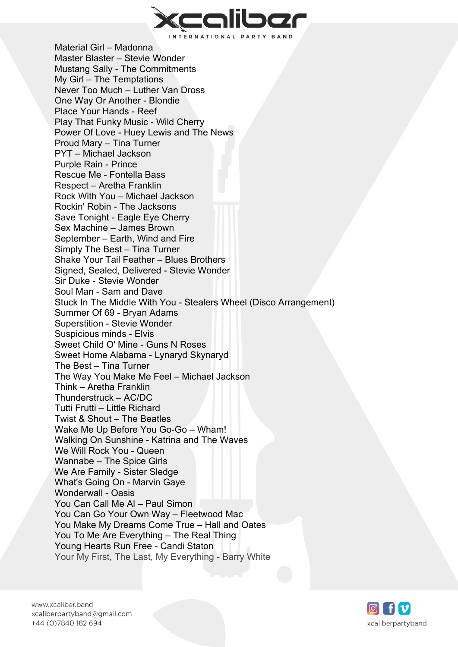

Material Girl – Madonna Master Blaster – Stevie Wonder Mustang Sally - The Commitments My Girl – The Temptations Never Too Much – Luther Van Dross One Way Or Another - Blondie Place Your Hands - Reef Play That Funky Music - Wild Cherry Power Of Love - Huey Lewis and The News Proud Mary – Tina Turner PYT – Michael Jackson Purple Rain - Prince Rescue Me - Fontella Bass Respect – Aretha Franklin Rock With You – Michael Jackson Rockin' Robin - The Jacksons Save Tonight - Eagle Eye Cherry Sex Machine – James Brown September – Earth, Wind and Fire Simply The Best – Tina Turner Shake Your Tail Feather – Blues Brothers Signed, Sealed, Delivered - Stevie Wonder Sir Duke - Stevie Wonder Soul Man - Sam and Dave Stuck In The Middle With You - Stealers Wheel (Disco Arrangement) Summer Of 69 - Bryan Adams Superstition - Stevie Wonder Suspicious minds - Elvis Sweet Child O' Mine - Guns N Roses Sweet Home Alabama - Lynaryd Skynaryd The Best – Tina Turner The Way You Make Me Feel – Michael Jackson Think – Aretha Franklin Thunderstruck – AC/DC Tutti Frutti – Little Richard Twist & Shout – The Beatles Wake Me Up Before You Go-Go – Wham! Walking On Sunshine - Katrina and The Waves We Will Rock You - Queen Wannabe – The Spice Girls We Are Family - Sister Sledge What's Going On - Marvin Gaye Wonderwall - Oasis You Can Call Me Al – Paul Simon You Can Go Your Own Way – Fleetwood Mac You Make My Dreams Come True – Hall and Oates You To Me Are Everything – The Real Thing Young Hearts Run Free - Candi Staton Your My First, The Last, My Everything - Barry White

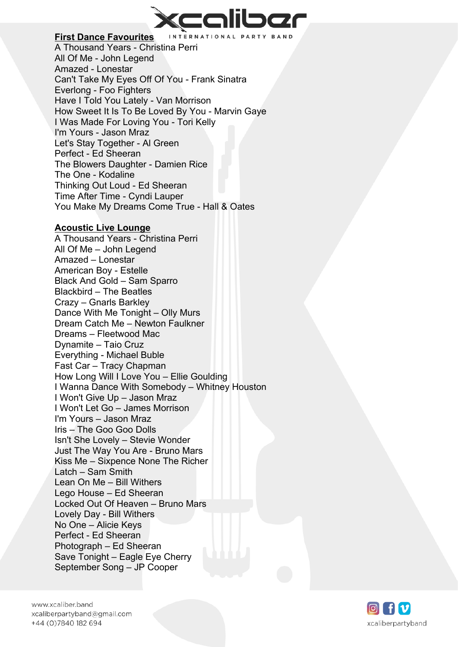

### **First Dance Favourites**

A Thousand Years - Christina Perri All Of Me - John Legend Amazed - Lonestar Can't Take My Eyes Off Of You - Frank Sinatra Everlong - Foo Fighters Have I Told You Lately - Van Morrison How Sweet It Is To Be Loved By You - Marvin Gaye I Was Made For Loving You - Tori Kelly I'm Yours - Jason Mraz Let's Stay Together - Al Green Perfect - Ed Sheeran The Blowers Daughter - Damien Rice The One - Kodaline Thinking Out Loud - Ed Sheeran Time After Time - Cyndi Lauper You Make My Dreams Come True - Hall & Oates

#### **Acoustic Live Lounge**

A Thousand Years - Christina Perri All Of Me – John Legend Amazed – Lonestar American Boy - Estelle Black And Gold – Sam Sparro Blackbird – The Beatles Crazy – Gnarls Barkley Dance With Me Tonight – Olly Murs Dream Catch Me – Newton Faulkner Dreams – Fleetwood Mac Dynamite – Taio Cruz Everything - Michael Buble Fast Car – Tracy Chapman How Long Will I Love You – Ellie Goulding I Wanna Dance With Somebody – Whitney Houston I Won't Give Up – Jason Mraz I Won't Let Go – James Morrison I'm Yours – Jason Mraz Iris – The Goo Goo Dolls Isn't She Lovely – Stevie Wonder Just The Way You Are - Bruno Mars Kiss Me – Sixpence None The Richer Latch – Sam Smith Lean On Me – Bill Withers Lego House – Ed Sheeran Locked Out Of Heaven – Bruno Mars Lovely Day - Bill Withers No One – Alicie Keys Perfect - Ed Sheeran Photograph – Ed Sheeran Save Tonight – Eagle Eye Cherry September Song – JP Cooper